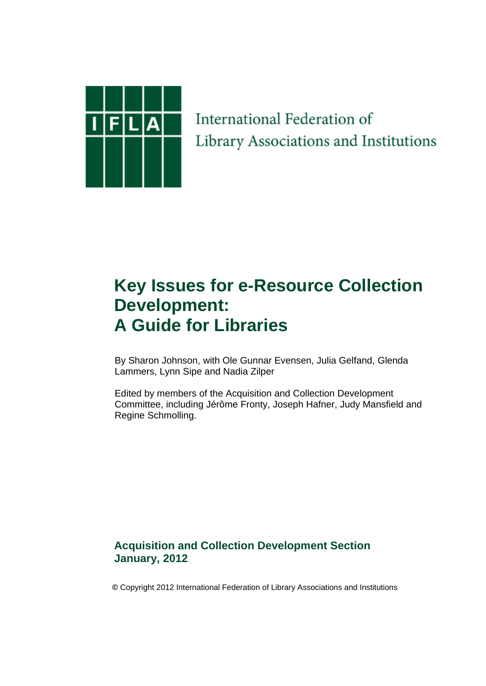

International Federation of Library Associations and Institutions

# **Key Issues for e-Resource Collection Development: A Guide for Libraries**

 By Sharon Johnson, with Ole Gunnar Evensen, Julia Gelfand, Glenda Lammers, Lynn Sipe and Nadia Zilper

 Edited by members of the Acquisition and Collection Development Committee, including Jérôme Fronty, Joseph Hafner, Judy Mansfield and Regine Schmolling.

## **Acquisition and Collection Development Section January, 2012**

 **©** Copyright 2012 International Federation of Library Associations and Institutions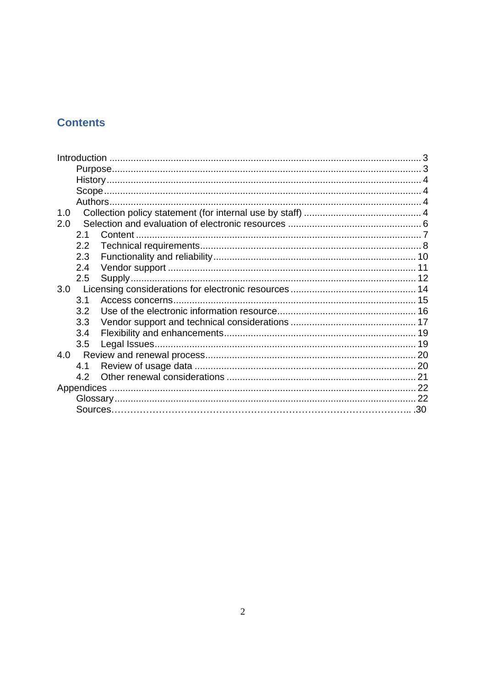# **Contents**

| 1.0 |                |  |  |
|-----|----------------|--|--|
| 2.0 |                |  |  |
|     | 2 <sub>1</sub> |  |  |
|     | 2.2            |  |  |
|     | 2.3            |  |  |
|     | 2.4            |  |  |
|     | 2.5            |  |  |
| 3.0 |                |  |  |
|     | 3.1            |  |  |
|     | 3.2            |  |  |
|     | 3.3            |  |  |
|     | 3.4            |  |  |
|     | 3.5            |  |  |
| 4.0 |                |  |  |
|     | 4.1            |  |  |
|     | 4.2            |  |  |
|     |                |  |  |
|     |                |  |  |
|     |                |  |  |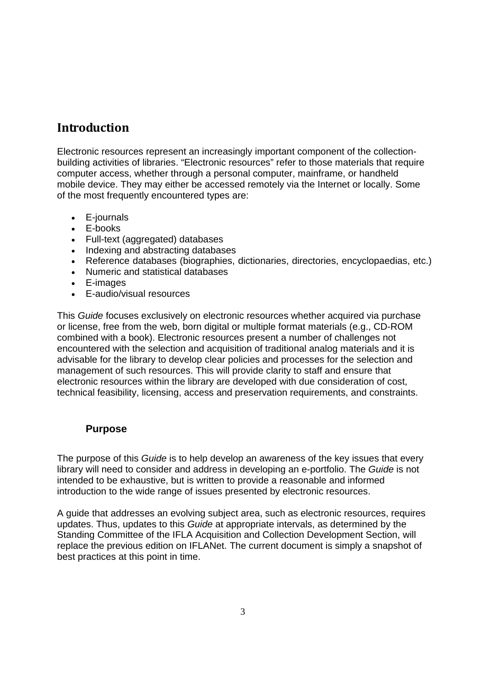# **Introduction**

Electronic resources represent an increasingly important component of the collectionbuilding activities of libraries. "Electronic resources" refer to those materials that require computer access, whether through a personal computer, mainframe, or handheld mobile device. They may either be accessed remotely via the Internet or locally. Some of the most frequently encountered types are:

- E-journals
- E-books
- Full-text (aggregated) databases
- Indexing and abstracting databases
- Reference databases (biographies, dictionaries, directories, encyclopaedias, etc.)
- Numeric and statistical databases
- E-images
- E-audio/visual resources

This *Guide* focuses exclusively on electronic resources whether acquired via purchase or license, free from the web, born digital or multiple format materials (e.g., CD-ROM combined with a book). Electronic resources present a number of challenges not encountered with the selection and acquisition of traditional analog materials and it is advisable for the library to develop clear policies and processes for the selection and management of such resources. This will provide clarity to staff and ensure that electronic resources within the library are developed with due consideration of cost, technical feasibility, licensing, access and preservation requirements, and constraints.

#### **Purpose**

The purpose of this *Guide* is to help develop an awareness of the key issues that every library will need to consider and address in developing an e-portfolio. The *Guide* is not intended to be exhaustive, but is written to provide a reasonable and informed introduction to the wide range of issues presented by electronic resources.

A guide that addresses an evolving subject area, such as electronic resources, requires updates. Thus, updates to this *Guide* at appropriate intervals, as determined by the Standing Committee of the IFLA Acquisition and Collection Development Section, will replace the previous edition on IFLANet. The current document is simply a snapshot of best practices at this point in time.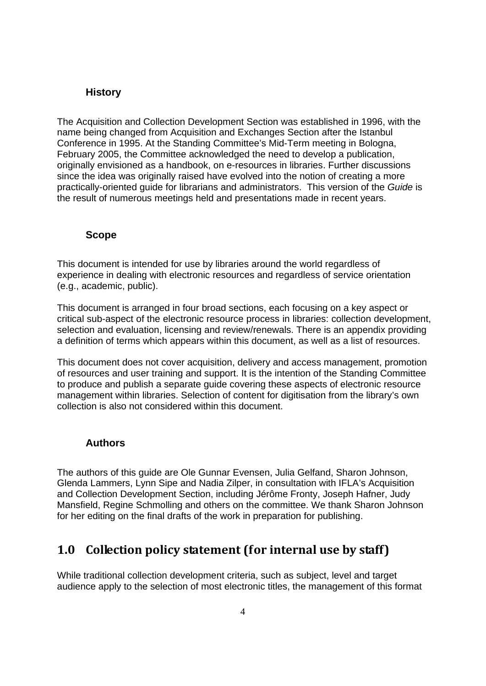#### **History**

The Acquisition and Collection Development Section was established in 1996, with the name being changed from Acquisition and Exchanges Section after the Istanbul Conference in 1995. At the Standing Committee's Mid-Term meeting in Bologna, February 2005, the Committee acknowledged the need to develop a publication, originally envisioned as a handbook, on e-resources in libraries. Further discussions since the idea was originally raised have evolved into the notion of creating a more practically-oriented guide for librarians and administrators. This version of the *Guide* is the result of numerous meetings held and presentations made in recent years.

#### **Scope**

This document is intended for use by libraries around the world regardless of experience in dealing with electronic resources and regardless of service orientation (e.g., academic, public).

This document is arranged in four broad sections, each focusing on a key aspect or critical sub-aspect of the electronic resource process in libraries: collection development, selection and evaluation, licensing and review/renewals. There is an appendix providing a definition of terms which appears within this document, as well as a list of resources.

This document does not cover acquisition, delivery and access management, promotion of resources and user training and support. It is the intention of the Standing Committee to produce and publish a separate guide covering these aspects of electronic resource management within libraries. Selection of content for digitisation from the library's own collection is also not considered within this document.

#### **Authors**

The authors of this guide are Ole Gunnar Evensen, Julia Gelfand, Sharon Johnson, Glenda Lammers, Lynn Sipe and Nadia Zilper, in consultation with IFLA's Acquisition and Collection Development Section, including Jérôme Fronty, Joseph Hafner, Judy Mansfield, Regine Schmolling and others on the committee. We thank Sharon Johnson for her editing on the final drafts of the work in preparation for publishing.

## **1.0 Collection policy statement (for internal use by staff)**

While traditional collection development criteria, such as subject, level and target audience apply to the selection of most electronic titles, the management of this format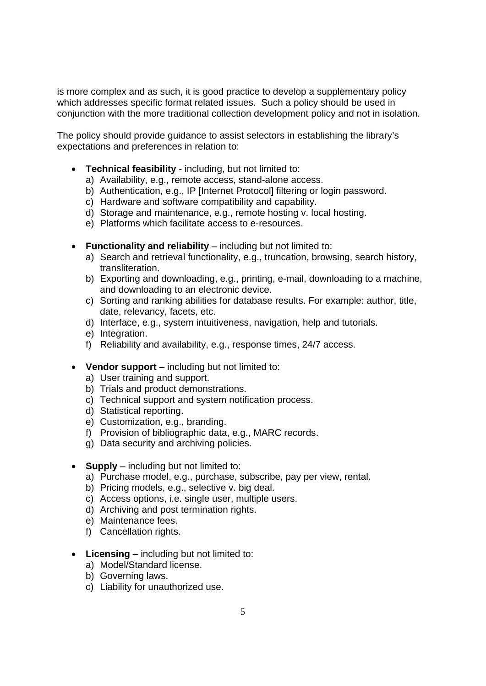is more complex and as such, it is good practice to develop a supplementary policy which addresses specific format related issues. Such a policy should be used in conjunction with the more traditional collection development policy and not in isolation.

The policy should provide guidance to assist selectors in establishing the library's expectations and preferences in relation to:

- **Technical feasibility** including, but not limited to:
	- a) Availability, e.g., remote access, stand-alone access.
	- b) Authentication, e.g., IP [Internet Protocol] filtering or login password.
	- c) Hardware and software compatibility and capability.
	- d) Storage and maintenance, e.g., remote hosting v. local hosting.
	- e) Platforms which facilitate access to e-resources.
- **Functionality and reliability** including but not limited to:
	- a) Search and retrieval functionality, e.g., truncation, browsing, search history, transliteration.
	- b) Exporting and downloading, e.g., printing, e-mail, downloading to a machine, and downloading to an electronic device.
	- c) Sorting and ranking abilities for database results. For example: author, title, date, relevancy, facets, etc.
	- d) Interface, e.g., system intuitiveness, navigation, help and tutorials.
	- e) Integration.
	- f) Reliability and availability, e.g., response times, 24/7 access.
- **Vendor support** including but not limited to:
	- a) User training and support.
	- b) Trials and product demonstrations.
	- c) Technical support and system notification process.
	- d) Statistical reporting.
	- e) Customization, e.g., branding.
	- f) Provision of bibliographic data, e.g., MARC records.
	- g) Data security and archiving policies.
- **Supply** including but not limited to:
	- a) Purchase model, e.g., purchase, subscribe, pay per view, rental.
	- b) Pricing models, e.g., selective v. big deal.
	- c) Access options, i.e. single user, multiple users.
	- d) Archiving and post termination rights.
	- e) Maintenance fees.
	- f) Cancellation rights.
- **Licensing** including but not limited to:
	- a) Model/Standard license.
	- b) Governing laws.
	- c) Liability for unauthorized use.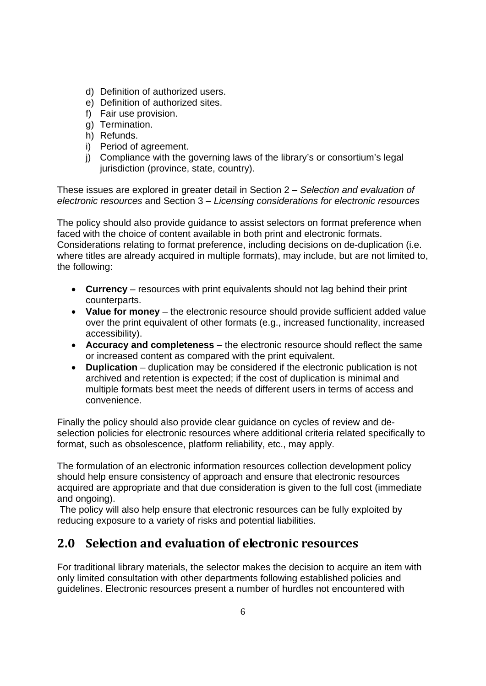- d) Definition of authorized users.
- e) Definition of authorized sites.
- f) Fair use provision.
- g) Termination.
- h) Refunds.
- i) Period of agreement.
- j) Compliance with the governing laws of the library's or consortium's legal jurisdiction (province, state, country).

These issues are explored in greater detail in Section 2 – *Selection and evaluation of electronic resources* and Section 3 – *Licensing considerations for electronic resources* 

The policy should also provide guidance to assist selectors on format preference when faced with the choice of content available in both print and electronic formats. Considerations relating to format preference, including decisions on de-duplication (i.e. where titles are already acquired in multiple formats), may include, but are not limited to, the following:

- **Currency** resources with print equivalents should not lag behind their print counterparts.
- **Value for money** the electronic resource should provide sufficient added value over the print equivalent of other formats (e.g., increased functionality, increased accessibility).
- **Accuracy and completeness** the electronic resource should reflect the same or increased content as compared with the print equivalent.
- **Duplication** duplication may be considered if the electronic publication is not archived and retention is expected; if the cost of duplication is minimal and multiple formats best meet the needs of different users in terms of access and convenience.

Finally the policy should also provide clear guidance on cycles of review and deselection policies for electronic resources where additional criteria related specifically to format, such as obsolescence, platform reliability, etc., may apply.

The formulation of an electronic information resources collection development policy should help ensure consistency of approach and ensure that electronic resources acquired are appropriate and that due consideration is given to the full cost (immediate and ongoing).

 The policy will also help ensure that electronic resources can be fully exploited by reducing exposure to a variety of risks and potential liabilities.

# **2.0 Selection and evaluation of electronic resources**

For traditional library materials, the selector makes the decision to acquire an item with only limited consultation with other departments following established policies and guidelines. Electronic resources present a number of hurdles not encountered with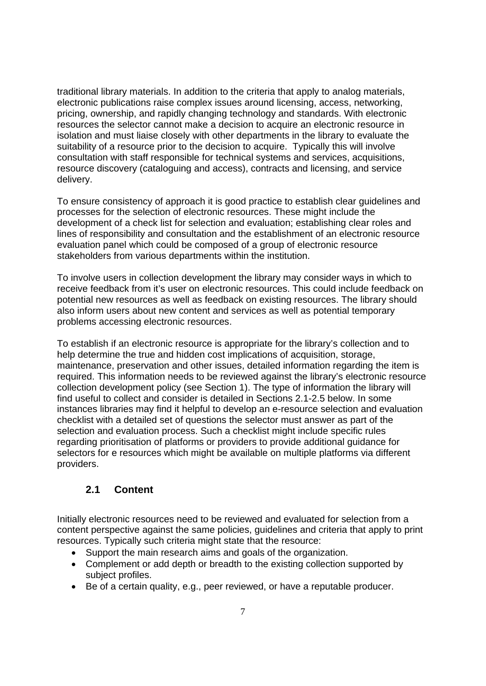traditional library materials. In addition to the criteria that apply to analog materials, electronic publications raise complex issues around licensing, access, networking, pricing, ownership, and rapidly changing technology and standards. With electronic resources the selector cannot make a decision to acquire an electronic resource in isolation and must liaise closely with other departments in the library to evaluate the suitability of a resource prior to the decision to acquire. Typically this will involve consultation with staff responsible for technical systems and services, acquisitions, resource discovery (cataloguing and access), contracts and licensing, and service delivery.

To ensure consistency of approach it is good practice to establish clear guidelines and processes for the selection of electronic resources. These might include the development of a check list for selection and evaluation; establishing clear roles and lines of responsibility and consultation and the establishment of an electronic resource evaluation panel which could be composed of a group of electronic resource stakeholders from various departments within the institution.

To involve users in collection development the library may consider ways in which to receive feedback from it's user on electronic resources. This could include feedback on potential new resources as well as feedback on existing resources. The library should also inform users about new content and services as well as potential temporary problems accessing electronic resources.

To establish if an electronic resource is appropriate for the library's collection and to help determine the true and hidden cost implications of acquisition, storage, maintenance, preservation and other issues, detailed information regarding the item is required. This information needs to be reviewed against the library's electronic resource collection development policy (see Section 1). The type of information the library will find useful to collect and consider is detailed in Sections 2.1-2.5 below. In some instances libraries may find it helpful to develop an e-resource selection and evaluation checklist with a detailed set of questions the selector must answer as part of the selection and evaluation process. Such a checklist might include specific rules regarding prioritisation of platforms or providers to provide additional guidance for selectors for e resources which might be available on multiple platforms via different providers.

#### **2.1 Content**

Initially electronic resources need to be reviewed and evaluated for selection from a content perspective against the same policies, guidelines and criteria that apply to print resources. Typically such criteria might state that the resource:

- Support the main research aims and goals of the organization.
- Complement or add depth or breadth to the existing collection supported by subject profiles.
- Be of a certain quality, e.g., peer reviewed, or have a reputable producer.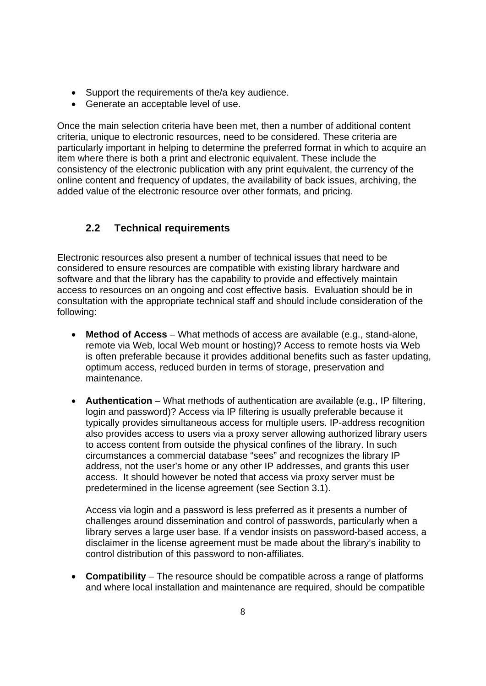- Support the requirements of the/a key audience.
- Generate an acceptable level of use.

Once the main selection criteria have been met, then a number of additional content criteria, unique to electronic resources, need to be considered. These criteria are particularly important in helping to determine the preferred format in which to acquire an item where there is both a print and electronic equivalent. These include the consistency of the electronic publication with any print equivalent, the currency of the online content and frequency of updates, the availability of back issues, archiving, the added value of the electronic resource over other formats, and pricing.

## **2.2 Technical requirements**

Electronic resources also present a number of technical issues that need to be considered to ensure resources are compatible with existing library hardware and software and that the library has the capability to provide and effectively maintain access to resources on an ongoing and cost effective basis. Evaluation should be in consultation with the appropriate technical staff and should include consideration of the following:

- **Method of Access** What methods of access are available (e.g., stand-alone, remote via Web, local Web mount or hosting)? Access to remote hosts via Web is often preferable because it provides additional benefits such as faster updating, optimum access, reduced burden in terms of storage, preservation and maintenance.
- **Authentication** What methods of authentication are available (e.g., IP filtering, login and password)? Access via IP filtering is usually preferable because it typically provides simultaneous access for multiple users. IP-address recognition also provides access to users via a proxy server allowing authorized library users to access content from outside the physical confines of the library. In such circumstances a commercial database "sees" and recognizes the library IP address, not the user's home or any other IP addresses, and grants this user access. It should however be noted that access via proxy server must be predetermined in the license agreement (see Section 3.1).

Access via login and a password is less preferred as it presents a number of challenges around dissemination and control of passwords, particularly when a library serves a large user base. If a vendor insists on password-based access, a disclaimer in the license agreement must be made about the library's inability to control distribution of this password to non-affiliates.

• **Compatibility** – The resource should be compatible across a range of platforms and where local installation and maintenance are required, should be compatible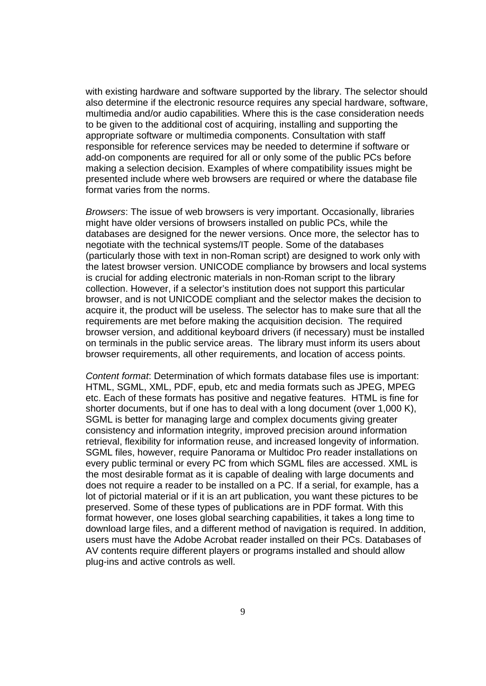with existing hardware and software supported by the library. The selector should also determine if the electronic resource requires any special hardware, software, multimedia and/or audio capabilities. Where this is the case consideration needs to be given to the additional cost of acquiring, installing and supporting the appropriate software or multimedia components. Consultation with staff responsible for reference services may be needed to determine if software or add-on components are required for all or only some of the public PCs before making a selection decision. Examples of where compatibility issues might be presented include where web browsers are required or where the database file format varies from the norms.

*Browsers*: The issue of web browsers is very important. Occasionally, libraries might have older versions of browsers installed on public PCs, while the databases are designed for the newer versions. Once more, the selector has to negotiate with the technical systems/IT people. Some of the databases (particularly those with text in non-Roman script) are designed to work only with the latest browser version. UNICODE compliance by browsers and local systems is crucial for adding electronic materials in non-Roman script to the library collection. However, if a selector's institution does not support this particular browser, and is not UNICODE compliant and the selector makes the decision to acquire it, the product will be useless. The selector has to make sure that all the requirements are met before making the acquisition decision. The required browser version, and additional keyboard drivers (if necessary) must be installed on terminals in the public service areas. The library must inform its users about browser requirements, all other requirements, and location of access points.

*Content format*: Determination of which formats database files use is important: HTML, SGML, XML, PDF, epub, etc and media formats such as JPEG, MPEG etc. Each of these formats has positive and negative features. HTML is fine for shorter documents, but if one has to deal with a long document (over 1,000 K), SGML is better for managing large and complex documents giving greater consistency and information integrity, improved precision around information retrieval, flexibility for information reuse, and increased longevity of information. SGML files, however, require Panorama or Multidoc Pro reader installations on every public terminal or every PC from which SGML files are accessed. XML is the most desirable format as it is capable of dealing with large documents and does not require a reader to be installed on a PC. If a serial, for example, has a lot of pictorial material or if it is an art publication, you want these pictures to be preserved. Some of these types of publications are in PDF format. With this format however, one loses global searching capabilities, it takes a long time to download large files, and a different method of navigation is required. In addition, users must have the Adobe Acrobat reader installed on their PCs. Databases of AV contents require different players or programs installed and should allow plug-ins and active controls as well.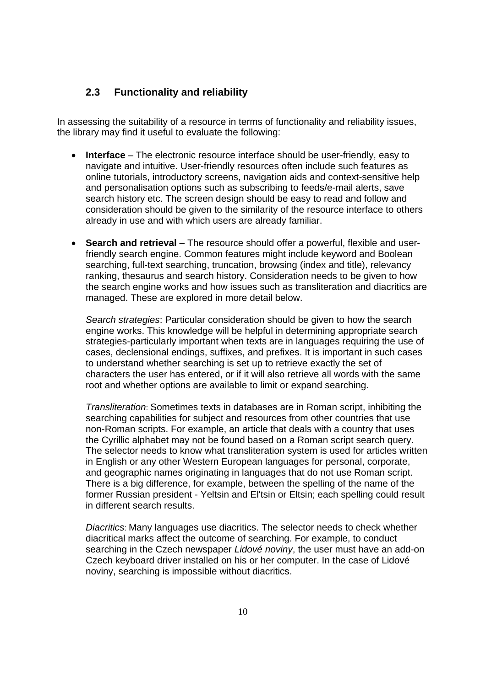#### **2.3 Functionality and reliability**

In assessing the suitability of a resource in terms of functionality and reliability issues, the library may find it useful to evaluate the following:

- **Interface**  The electronic resource interface should be user-friendly, easy to navigate and intuitive. User-friendly resources often include such features as online tutorials, introductory screens, navigation aids and context-sensitive help and personalisation options such as subscribing to feeds/e-mail alerts, save search history etc. The screen design should be easy to read and follow and consideration should be given to the similarity of the resource interface to others already in use and with which users are already familiar.
- **Search and retrieval** The resource should offer a powerful, flexible and userfriendly search engine. Common features might include keyword and Boolean searching, full-text searching, truncation, browsing (index and title), relevancy ranking, thesaurus and search history. Consideration needs to be given to how the search engine works and how issues such as transliteration and diacritics are managed. These are explored in more detail below.

*Search strategies*: Particular consideration should be given to how the search engine works. This knowledge will be helpful in determining appropriate search strategies-particularly important when texts are in languages requiring the use of cases, declensional endings, suffixes, and prefixes. It is important in such cases to understand whether searching is set up to retrieve exactly the set of characters the user has entered, or if it will also retrieve all words with the same root and whether options are available to limit or expand searching.

*Transliteration*: Sometimes texts in databases are in Roman script, inhibiting the searching capabilities for subject and resources from other countries that use non-Roman scripts. For example, an article that deals with a country that uses the Cyrillic alphabet may not be found based on a Roman script search query. The selector needs to know what transliteration system is used for articles written in English or any other Western European languages for personal, corporate, and geographic names originating in languages that do not use Roman script. There is a big difference, for example, between the spelling of the name of the former Russian president - Yeltsin and El'tsin or Eltsin; each spelling could result in different search results.

*Diacritics*: Many languages use diacritics. The selector needs to check whether diacritical marks affect the outcome of searching. For example, to conduct searching in the Czech newspaper *Lidové noviny*, the user must have an add-on Czech keyboard driver installed on his or her computer. In the case of Lidové noviny, searching is impossible without diacritics.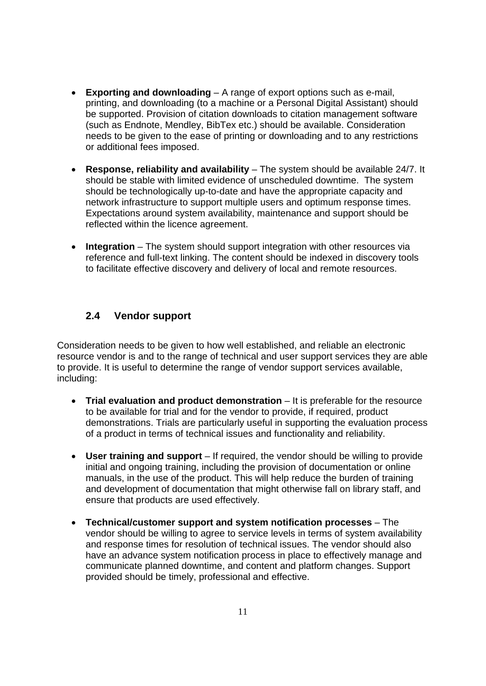- **Exporting and downloading** A range of export options such as e-mail, printing, and downloading (to a machine or a Personal Digital Assistant) should be supported. Provision of citation downloads to citation management software (such as Endnote, Mendley, BibTex etc.) should be available. Consideration needs to be given to the ease of printing or downloading and to any restrictions or additional fees imposed.
- **Response, reliability and availability** The system should be available 24/7. It should be stable with limited evidence of unscheduled downtime. The system should be technologically up-to-date and have the appropriate capacity and network infrastructure to support multiple users and optimum response times. Expectations around system availability, maintenance and support should be reflected within the licence agreement.
- **Integration** The system should support integration with other resources via reference and full-text linking. The content should be indexed in discovery tools to facilitate effective discovery and delivery of local and remote resources.

## **2.4 Vendor support**

Consideration needs to be given to how well established, and reliable an electronic resource vendor is and to the range of technical and user support services they are able to provide. It is useful to determine the range of vendor support services available, including:

- **Trial evaluation and product demonstration** It is preferable for the resource to be available for trial and for the vendor to provide, if required, product demonstrations. Trials are particularly useful in supporting the evaluation process of a product in terms of technical issues and functionality and reliability.
- **User training and support**  If required, the vendor should be willing to provide initial and ongoing training, including the provision of documentation or online manuals, in the use of the product. This will help reduce the burden of training and development of documentation that might otherwise fall on library staff, and ensure that products are used effectively.
- **Technical/customer support and system notification processes** The vendor should be willing to agree to service levels in terms of system availability and response times for resolution of technical issues. The vendor should also have an advance system notification process in place to effectively manage and communicate planned downtime, and content and platform changes. Support provided should be timely, professional and effective.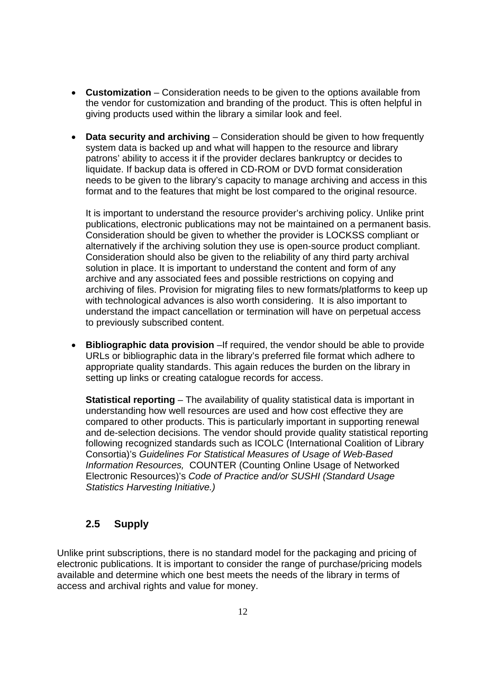- **Customization** Consideration needs to be given to the options available from the vendor for customization and branding of the product. This is often helpful in giving products used within the library a similar look and feel.
- **Data security and archiving** Consideration should be given to how frequently system data is backed up and what will happen to the resource and library patrons' ability to access it if the provider declares bankruptcy or decides to liquidate. If backup data is offered in CD-ROM or DVD format consideration needs to be given to the library's capacity to manage archiving and access in this format and to the features that might be lost compared to the original resource.

It is important to understand the resource provider's archiving policy. Unlike print publications, electronic publications may not be maintained on a permanent basis. Consideration should be given to whether the provider is LOCKSS compliant or alternatively if the archiving solution they use is open-source product compliant. Consideration should also be given to the reliability of any third party archival solution in place. It is important to understand the content and form of any archive and any associated fees and possible restrictions on copying and archiving of files. Provision for migrating files to new formats/platforms to keep up with technological advances is also worth considering. It is also important to understand the impact cancellation or termination will have on perpetual access to previously subscribed content.

**Bibliographic data provision** –If required, the vendor should be able to provide URLs or bibliographic data in the library's preferred file format which adhere to appropriate quality standards. This again reduces the burden on the library in setting up links or creating catalogue records for access.

**Statistical reporting** – The availability of quality statistical data is important in understanding how well resources are used and how cost effective they are compared to other products. This is particularly important in supporting renewal and de-selection decisions. The vendor should provide quality statistical reporting following recognized standards such as ICOLC (International Coalition of Library Consortia)'s *Guidelines For Statistical Measures of Usage of Web-Based Information Resources,* COUNTER (Counting Online Usage of Networked Electronic Resources)'s *Code of Practice and/or SUSHI (Standard Usage Statistics Harvesting Initiative.)* 

## **2.5 Supply**

Unlike print subscriptions, there is no standard model for the packaging and pricing of electronic publications. It is important to consider the range of purchase/pricing models available and determine which one best meets the needs of the library in terms of access and archival rights and value for money.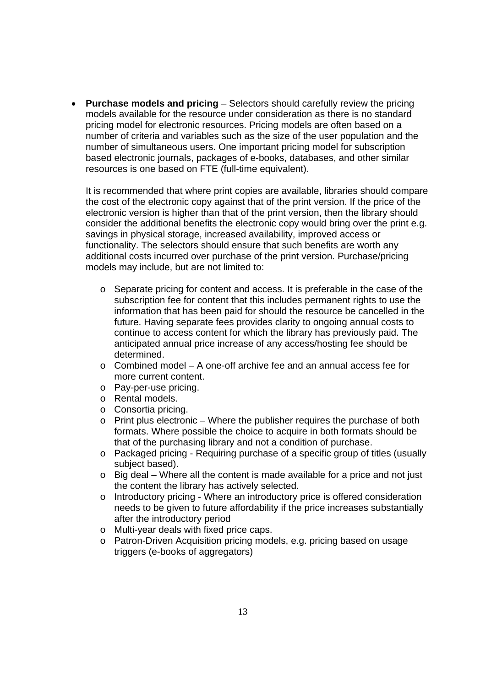• **Purchase models and pricing** – Selectors should carefully review the pricing models available for the resource under consideration as there is no standard pricing model for electronic resources. Pricing models are often based on a number of criteria and variables such as the size of the user population and the number of simultaneous users. One important pricing model for subscription based electronic journals, packages of e-books, databases, and other similar resources is one based on FTE (full-time equivalent).

It is recommended that where print copies are available, libraries should compare the cost of the electronic copy against that of the print version. If the price of the electronic version is higher than that of the print version, then the library should consider the additional benefits the electronic copy would bring over the print e.g. savings in physical storage, increased availability, improved access or functionality. The selectors should ensure that such benefits are worth any additional costs incurred over purchase of the print version. Purchase/pricing models may include, but are not limited to:

- o Separate pricing for content and access. It is preferable in the case of the subscription fee for content that this includes permanent rights to use the information that has been paid for should the resource be cancelled in the future. Having separate fees provides clarity to ongoing annual costs to continue to access content for which the library has previously paid. The anticipated annual price increase of any access/hosting fee should be determined.
- $\circ$  Combined model A one-off archive fee and an annual access fee for more current content.
- o Pay-per-use pricing.
- o Rental models.
- o Consortia pricing.
- $\circ$  Print plus electronic Where the publisher requires the purchase of both formats. Where possible the choice to acquire in both formats should be that of the purchasing library and not a condition of purchase.
- o Packaged pricing Requiring purchase of a specific group of titles (usually subject based).
- o Big deal Where all the content is made available for a price and not just the content the library has actively selected.
- o Introductory pricing Where an introductory price is offered consideration needs to be given to future affordability if the price increases substantially after the introductory period
- o Multi-year deals with fixed price caps.
- o Patron-Driven Acquisition pricing models, e.g. pricing based on usage triggers (e-books of aggregators)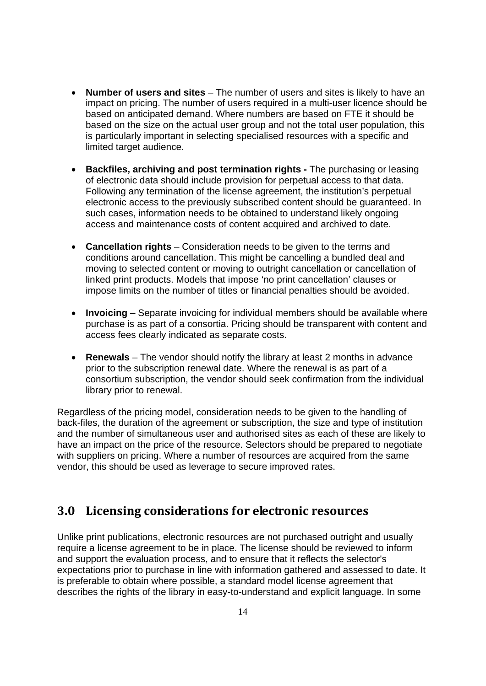- **Number of users and sites** The number of users and sites is likely to have an impact on pricing. The number of users required in a multi-user licence should be based on anticipated demand. Where numbers are based on FTE it should be based on the size on the actual user group and not the total user population, this is particularly important in selecting specialised resources with a specific and limited target audience.
- **Backfiles, archiving and post termination rights** The purchasing or leasing of electronic data should include provision for perpetual access to that data. Following any termination of the license agreement, the institution's perpetual electronic access to the previously subscribed content should be guaranteed. In such cases, information needs to be obtained to understand likely ongoing access and maintenance costs of content acquired and archived to date.
- **Cancellation rights** Consideration needs to be given to the terms and conditions around cancellation. This might be cancelling a bundled deal and moving to selected content or moving to outright cancellation or cancellation of linked print products. Models that impose 'no print cancellation' clauses or impose limits on the number of titles or financial penalties should be avoided.
- **Invoicing** Separate invoicing for individual members should be available where purchase is as part of a consortia. Pricing should be transparent with content and access fees clearly indicated as separate costs.
- **Renewals** The vendor should notify the library at least 2 months in advance prior to the subscription renewal date. Where the renewal is as part of a consortium subscription, the vendor should seek confirmation from the individual library prior to renewal.

Regardless of the pricing model, consideration needs to be given to the handling of back-files, the duration of the agreement or subscription, the size and type of institution and the number of simultaneous user and authorised sites as each of these are likely to have an impact on the price of the resource. Selectors should be prepared to negotiate with suppliers on pricing. Where a number of resources are acquired from the same vendor, this should be used as leverage to secure improved rates.

## **3.0 Licensing considerations for electronic resources**

Unlike print publications, electronic resources are not purchased outright and usually require a license agreement to be in place. The license should be reviewed to inform and support the evaluation process, and to ensure that it reflects the selector's expectations prior to purchase in line with information gathered and assessed to date. It is preferable to obtain where possible, a standard model license agreement that describes the rights of the library in easy-to-understand and explicit language. In some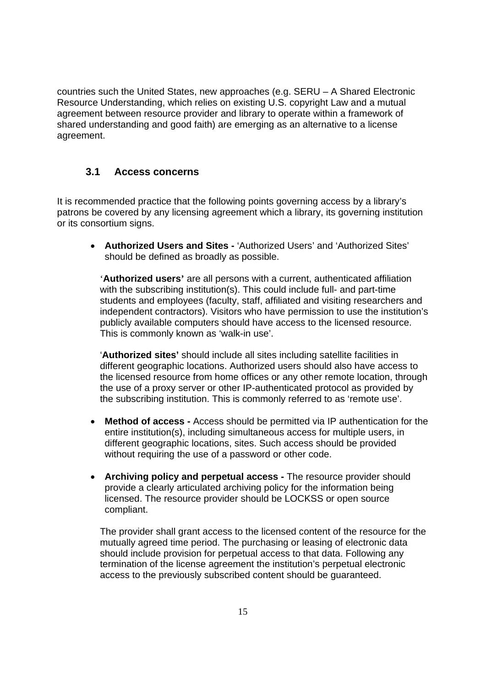countries such the United States, new approaches (e.g. SERU – A Shared Electronic Resource Understanding, which relies on existing U.S. copyright Law and a mutual agreement between resource provider and library to operate within a framework of shared understanding and good faith) are emerging as an alternative to a license agreement.

#### **3.1 Access concerns**

It is recommended practice that the following points governing access by a library's patrons be covered by any licensing agreement which a library, its governing institution or its consortium signs.

• **Authorized Users and Sites -** 'Authorized Users' and 'Authorized Sites' should be defined as broadly as possible.

'**Authorized users'** are all persons with a current, authenticated affiliation with the subscribing institution(s). This could include full- and part-time students and employees (faculty, staff, affiliated and visiting researchers and independent contractors). Visitors who have permission to use the institution's publicly available computers should have access to the licensed resource. This is commonly known as 'walk-in use'.

'**Authorized sites'** should include all sites including satellite facilities in different geographic locations. Authorized users should also have access to the licensed resource from home offices or any other remote location, through the use of a proxy server or other IP-authenticated protocol as provided by the subscribing institution. This is commonly referred to as 'remote use'.

- **Method of access -** Access should be permitted via IP authentication for the entire institution(s), including simultaneous access for multiple users, in different geographic locations, sites. Such access should be provided without requiring the use of a password or other code.
- **Archiving policy and perpetual access** The resource provider should provide a clearly articulated archiving policy for the information being licensed. The resource provider should be LOCKSS or open source compliant.

The provider shall grant access to the licensed content of the resource for the mutually agreed time period. The purchasing or leasing of electronic data should include provision for perpetual access to that data. Following any termination of the license agreement the institution's perpetual electronic access to the previously subscribed content should be guaranteed.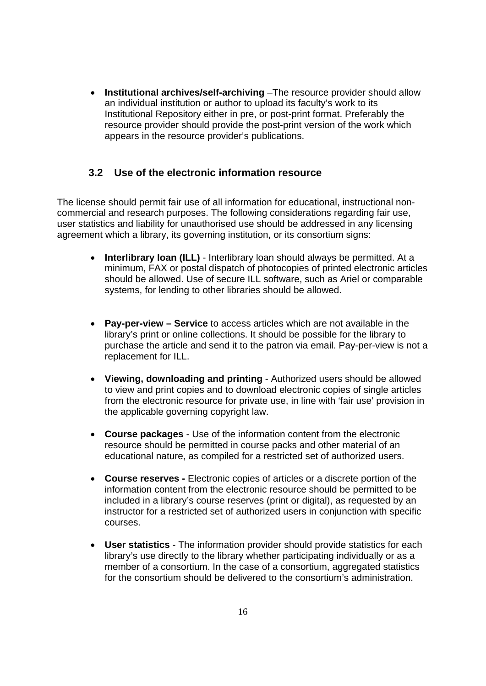• **Institutional archives/self-archiving** - The resource provider should allow an individual institution or author to upload its faculty's work to its Institutional Repository either in pre, or post-print format. Preferably the resource provider should provide the post-print version of the work which appears in the resource provider's publications.

#### **3.2 Use of the electronic information resource**

The license should permit fair use of all information for educational, instructional noncommercial and research purposes. The following considerations regarding fair use, user statistics and liability for unauthorised use should be addressed in any licensing agreement which a library, its governing institution, or its consortium signs:

- **Interlibrary loan (ILL)** Interlibrary loan should always be permitted. At a minimum, FAX or postal dispatch of photocopies of printed electronic articles should be allowed. Use of secure ILL software, such as Ariel or comparable systems, for lending to other libraries should be allowed.
- **Pay-per-view Service** to access articles which are not available in the library's print or online collections. It should be possible for the library to purchase the article and send it to the patron via email. Pay-per-view is not a replacement for ILL.
- **Viewing, downloading and printing** Authorized users should be allowed to view and print copies and to download electronic copies of single articles from the electronic resource for private use, in line with 'fair use' provision in the applicable governing copyright law.
- **Course packages** Use of the information content from the electronic resource should be permitted in course packs and other material of an educational nature, as compiled for a restricted set of authorized users.
- **Course reserves** Electronic copies of articles or a discrete portion of the information content from the electronic resource should be permitted to be included in a library's course reserves (print or digital), as requested by an instructor for a restricted set of authorized users in conjunction with specific courses.
- **User statistics** The information provider should provide statistics for each library's use directly to the library whether participating individually or as a member of a consortium. In the case of a consortium, aggregated statistics for the consortium should be delivered to the consortium's administration.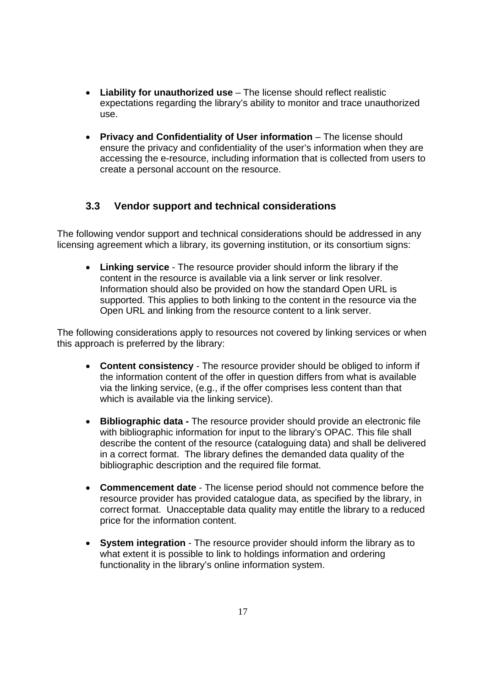- **Liability for unauthorized use** The license should reflect realistic expectations regarding the library's ability to monitor and trace unauthorized use.
- **Privacy and Confidentiality of User information** The license should ensure the privacy and confidentiality of the user's information when they are accessing the e-resource, including information that is collected from users to create a personal account on the resource.

## **3.3 Vendor support and technical considerations**

The following vendor support and technical considerations should be addressed in any licensing agreement which a library, its governing institution, or its consortium signs:

• **Linking service** - The resource provider should inform the library if the content in the resource is available via a link server or link resolver. Information should also be provided on how the standard Open URL is supported. This applies to both linking to the content in the resource via the Open URL and linking from the resource content to a link server.

The following considerations apply to resources not covered by linking services or when this approach is preferred by the library:

- **Content consistency** The resource provider should be obliged to inform if the information content of the offer in question differs from what is available via the linking service, (e.g., if the offer comprises less content than that which is available via the linking service).
- **Bibliographic data** The resource provider should provide an electronic file with bibliographic information for input to the library's OPAC. This file shall describe the content of the resource (cataloguing data) and shall be delivered in a correct format. The library defines the demanded data quality of the bibliographic description and the required file format.
- **Commencement date** The license period should not commence before the resource provider has provided catalogue data, as specified by the library, in correct format. Unacceptable data quality may entitle the library to a reduced price for the information content.
- **System integration** The resource provider should inform the library as to what extent it is possible to link to holdings information and ordering functionality in the library's online information system.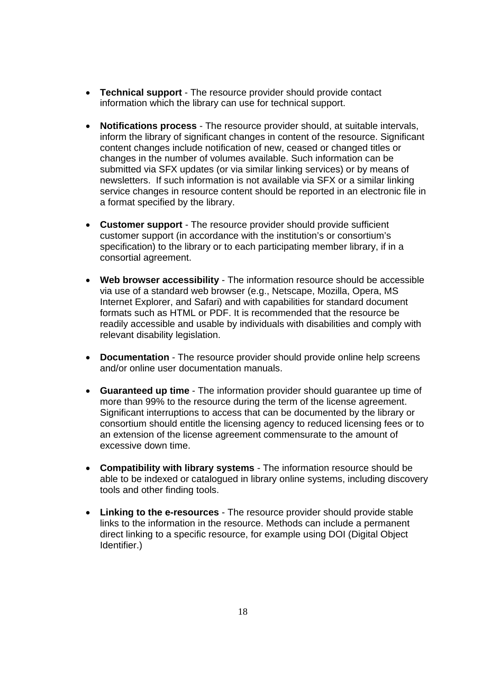- **Technical support** The resource provider should provide contact information which the library can use for technical support.
- **Notifications process**  The resource provider should, at suitable intervals, inform the library of significant changes in content of the resource. Significant content changes include notification of new, ceased or changed titles or changes in the number of volumes available. Such information can be submitted via SFX updates (or via similar linking services) or by means of newsletters. If such information is not available via SFX or a similar linking service changes in resource content should be reported in an electronic file in a format specified by the library.
- **Customer support** The resource provider should provide sufficient customer support (in accordance with the institution's or consortium's specification) to the library or to each participating member library, if in a consortial agreement.
- **Web browser accessibility** The information resource should be accessible via use of a standard web browser (e.g., Netscape, Mozilla, Opera, MS Internet Explorer, and Safari) and with capabilities for standard document formats such as HTML or PDF. It is recommended that the resource be readily accessible and usable by individuals with disabilities and comply with relevant disability legislation.
- **Documentation** The resource provider should provide online help screens and/or online user documentation manuals.
- **Guaranteed up time** The information provider should guarantee up time of more than 99% to the resource during the term of the license agreement. Significant interruptions to access that can be documented by the library or consortium should entitle the licensing agency to reduced licensing fees or to an extension of the license agreement commensurate to the amount of excessive down time.
- **Compatibility with library systems** The information resource should be able to be indexed or catalogued in library online systems, including discovery tools and other finding tools.
- **Linking to the e-resources**  The resource provider should provide stable links to the information in the resource. Methods can include a permanent direct linking to a specific resource, for example using DOI (Digital Object Identifier.)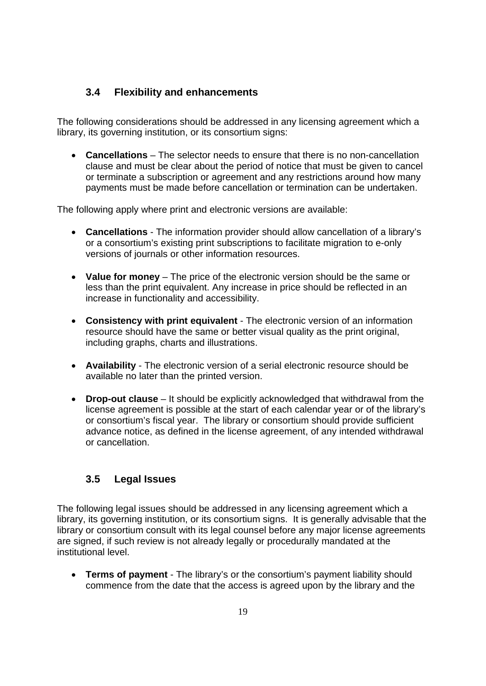## **3.4 Flexibility and enhancements**

The following considerations should be addressed in any licensing agreement which a library, its governing institution, or its consortium signs:

• **Cancellations** – The selector needs to ensure that there is no non-cancellation clause and must be clear about the period of notice that must be given to cancel or terminate a subscription or agreement and any restrictions around how many payments must be made before cancellation or termination can be undertaken.

The following apply where print and electronic versions are available:

- **Cancellations** The information provider should allow cancellation of a library's or a consortium's existing print subscriptions to facilitate migration to e-only versions of journals or other information resources.
- **Value for money** The price of the electronic version should be the same or less than the print equivalent. Any increase in price should be reflected in an increase in functionality and accessibility.
- **Consistency with print equivalent** The electronic version of an information resource should have the same or better visual quality as the print original, including graphs, charts and illustrations.
- **Availability** The electronic version of a serial electronic resource should be available no later than the printed version.
- **Drop-out clause** It should be explicitly acknowledged that withdrawal from the license agreement is possible at the start of each calendar year or of the library's or consortium's fiscal year. The library or consortium should provide sufficient advance notice, as defined in the license agreement, of any intended withdrawal or cancellation.

## **3.5 Legal Issues**

The following legal issues should be addressed in any licensing agreement which a library, its governing institution, or its consortium signs. It is generally advisable that the library or consortium consult with its legal counsel before any major license agreements are signed, if such review is not already legally or procedurally mandated at the institutional level.

• **Terms of payment** - The library's or the consortium's payment liability should commence from the date that the access is agreed upon by the library and the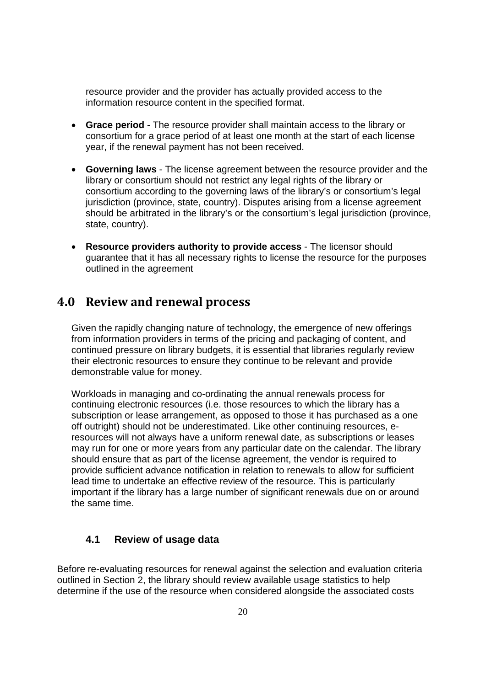resource provider and the provider has actually provided access to the information resource content in the specified format.

- **Grace period** The resource provider shall maintain access to the library or consortium for a grace period of at least one month at the start of each license year, if the renewal payment has not been received.
- **Governing laws**  The license agreement between the resource provider and the library or consortium should not restrict any legal rights of the library or consortium according to the governing laws of the library's or consortium's legal jurisdiction (province, state, country). Disputes arising from a license agreement should be arbitrated in the library's or the consortium's legal jurisdiction (province, state, country).
- **Resource providers authority to provide access**  The licensor should guarantee that it has all necessary rights to license the resource for the purposes outlined in the agreement

## **4.0 Review and renewal process**

Given the rapidly changing nature of technology, the emergence of new offerings from information providers in terms of the pricing and packaging of content, and continued pressure on library budgets, it is essential that libraries regularly review their electronic resources to ensure they continue to be relevant and provide demonstrable value for money.

Workloads in managing and co-ordinating the annual renewals process for continuing electronic resources (i.e. those resources to which the library has a subscription or lease arrangement, as opposed to those it has purchased as a one off outright) should not be underestimated. Like other continuing resources, eresources will not always have a uniform renewal date, as subscriptions or leases may run for one or more years from any particular date on the calendar. The library should ensure that as part of the license agreement, the vendor is required to provide sufficient advance notification in relation to renewals to allow for sufficient lead time to undertake an effective review of the resource. This is particularly important if the library has a large number of significant renewals due on or around the same time.

#### **4.1 Review of usage data**

Before re-evaluating resources for renewal against the selection and evaluation criteria outlined in Section 2, the library should review available usage statistics to help determine if the use of the resource when considered alongside the associated costs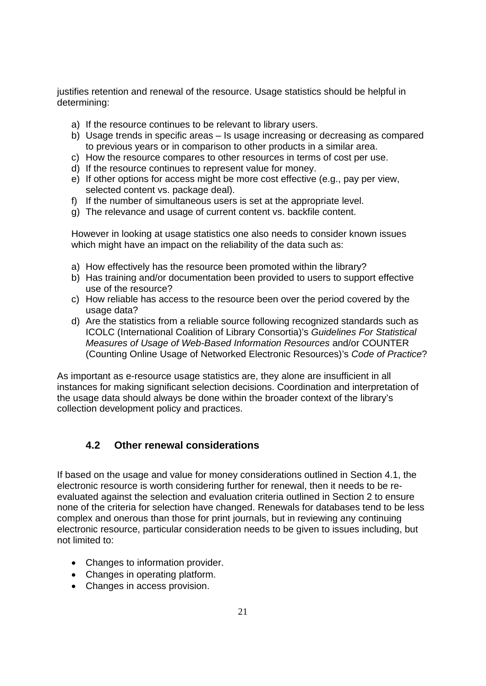justifies retention and renewal of the resource. Usage statistics should be helpful in determining:

- a) If the resource continues to be relevant to library users.
- b) Usage trends in specific areas Is usage increasing or decreasing as compared to previous years or in comparison to other products in a similar area.
- c) How the resource compares to other resources in terms of cost per use.
- d) If the resource continues to represent value for money.
- e) If other options for access might be more cost effective (e.g., pay per view, selected content vs. package deal).
- f) If the number of simultaneous users is set at the appropriate level.
- g) The relevance and usage of current content vs. backfile content.

However in looking at usage statistics one also needs to consider known issues which might have an impact on the reliability of the data such as:

- a) How effectively has the resource been promoted within the library?
- b) Has training and/or documentation been provided to users to support effective use of the resource?
- c) How reliable has access to the resource been over the period covered by the usage data?
- d) Are the statistics from a reliable source following recognized standards such as ICOLC (International Coalition of Library Consortia)'s *Guidelines For Statistical Measures of Usage of Web-Based Information Resources* and/or COUNTER (Counting Online Usage of Networked Electronic Resources)'s *Code of Practice*?

As important as e-resource usage statistics are, they alone are insufficient in all instances for making significant selection decisions. Coordination and interpretation of the usage data should always be done within the broader context of the library's collection development policy and practices.

## **4.2 Other renewal considerations**

If based on the usage and value for money considerations outlined in Section 4.1, the electronic resource is worth considering further for renewal, then it needs to be reevaluated against the selection and evaluation criteria outlined in Section 2 to ensure none of the criteria for selection have changed. Renewals for databases tend to be less complex and onerous than those for print journals, but in reviewing any continuing electronic resource, particular consideration needs to be given to issues including, but not limited to:

- Changes to information provider.
- Changes in operating platform.
- Changes in access provision.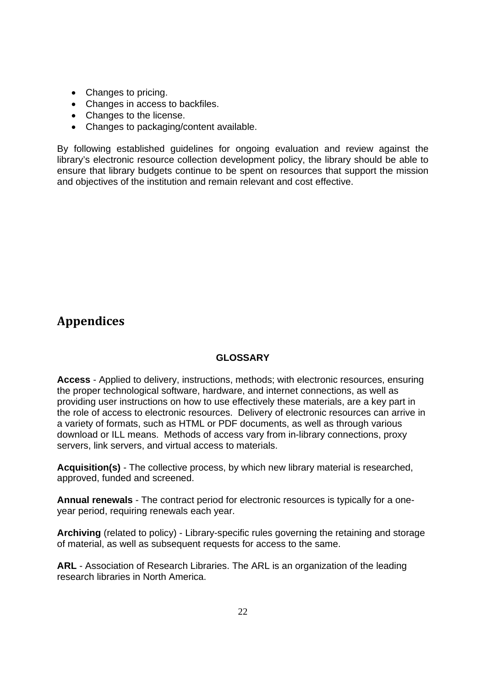- Changes to pricing.
- Changes in access to backfiles.
- Changes to the license.
- Changes to packaging/content available.

By following established guidelines for ongoing evaluation and review against the library's electronic resource collection development policy, the library should be able to ensure that library budgets continue to be spent on resources that support the mission and objectives of the institution and remain relevant and cost effective.

## **Appendices**

#### **GLOSSARY**

**Access** - Applied to delivery, instructions, methods; with electronic resources, ensuring the proper technological software, hardware, and internet connections, as well as providing user instructions on how to use effectively these materials, are a key part in the role of access to electronic resources. Delivery of electronic resources can arrive in a variety of formats, such as HTML or PDF documents, as well as through various download or ILL means. Methods of access vary from in-library connections, proxy servers, link servers, and virtual access to materials.

**Acquisition(s)** - The collective process, by which new library material is researched, approved, funded and screened.

**Annual renewals** - The contract period for electronic resources is typically for a oneyear period, requiring renewals each year.

**Archiving** (related to policy) - Library-specific rules governing the retaining and storage of material, as well as subsequent requests for access to the same.

**ARL** - Association of Research Libraries. The ARL is an organization of the leading research libraries in North America.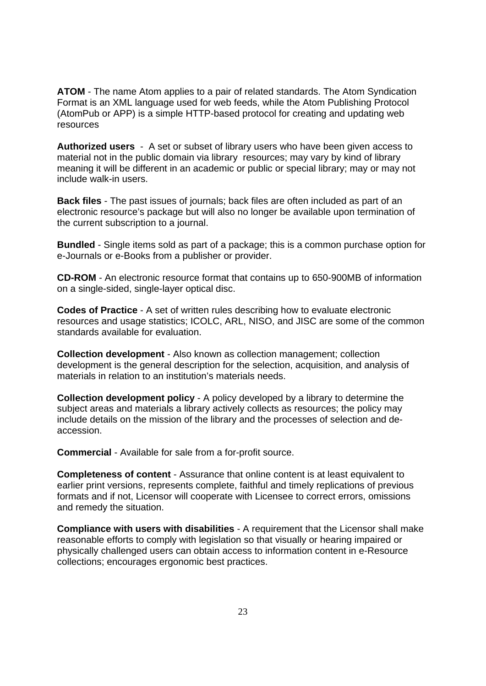**ATOM** - The name Atom applies to a pair of related standards. The Atom Syndication Format is an XML language used for web feeds, while the Atom Publishing Protocol (AtomPub or APP) is a simple HTTP-based protocol for creating and updating web resources

**Authorized users** - A set or subset of library users who have been given access to material not in the public domain via library resources; may vary by kind of library meaning it will be different in an academic or public or special library; may or may not include walk-in users.

**Back files** - The past issues of journals; back files are often included as part of an electronic resource's package but will also no longer be available upon termination of the current subscription to a journal.

**Bundled** - Single items sold as part of a package; this is a common purchase option for e-Journals or e-Books from a publisher or provider.

**CD-ROM** - An electronic resource format that contains up to 650-900MB of information on a single-sided, single-layer optical disc.

**Codes of Practice** - A set of written rules describing how to evaluate electronic resources and usage statistics; ICOLC, ARL, NISO, and JISC are some of the common standards available for evaluation.

**Collection development** - Also known as collection management; collection development is the general description for the selection, acquisition, and analysis of materials in relation to an institution's materials needs.

**Collection development policy** - A policy developed by a library to determine the subject areas and materials a library actively collects as resources; the policy may include details on the mission of the library and the processes of selection and deaccession.

**Commercial** - Available for sale from a for-profit source.

**Completeness of content** - Assurance that online content is at least equivalent to earlier print versions, represents complete, faithful and timely replications of previous formats and if not, Licensor will cooperate with Licensee to correct errors, omissions and remedy the situation.

**Compliance with users with disabilities** - A requirement that the Licensor shall make reasonable efforts to comply with legislation so that visually or hearing impaired or physically challenged users can obtain access to information content in e-Resource collections; encourages ergonomic best practices.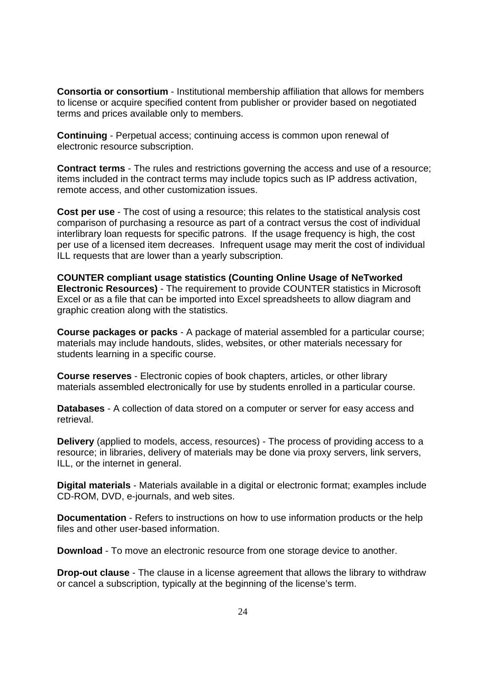**Consortia or consortium** - Institutional membership affiliation that allows for members to license or acquire specified content from publisher or provider based on negotiated terms and prices available only to members.

**Continuing** - Perpetual access; continuing access is common upon renewal of electronic resource subscription.

**Contract terms** - The rules and restrictions governing the access and use of a resource; items included in the contract terms may include topics such as IP address activation, remote access, and other customization issues.

**Cost per use** - The cost of using a resource; this relates to the statistical analysis cost comparison of purchasing a resource as part of a contract versus the cost of individual interlibrary loan requests for specific patrons. If the usage frequency is high, the cost per use of a licensed item decreases. Infrequent usage may merit the cost of individual ILL requests that are lower than a yearly subscription.

**COUNTER compliant usage statistics (Counting Online Usage of NeTworked Electronic Resources)** - The requirement to provide COUNTER statistics in Microsoft Excel or as a file that can be imported into Excel spreadsheets to allow diagram and graphic creation along with the statistics.

**Course packages or packs** - A package of material assembled for a particular course; materials may include handouts, slides, websites, or other materials necessary for students learning in a specific course.

**Course reserves** - Electronic copies of book chapters, articles, or other library materials assembled electronically for use by students enrolled in a particular course.

**Databases** - A collection of data stored on a computer or server for easy access and retrieval.

**Delivery** (applied to models, access, resources) - The process of providing access to a resource; in libraries, delivery of materials may be done via proxy servers, link servers, ILL, or the internet in general.

**Digital materials** - Materials available in a digital or electronic format; examples include CD-ROM, DVD, e-journals, and web sites.

**Documentation** - Refers to instructions on how to use information products or the help files and other user-based information.

**Download** - To move an electronic resource from one storage device to another.

**Drop-out clause** - The clause in a license agreement that allows the library to withdraw or cancel a subscription, typically at the beginning of the license's term.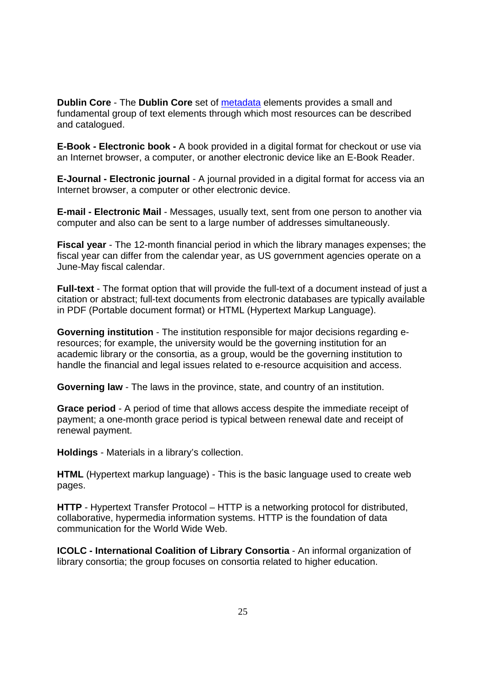**Dublin Core** - The **Dublin Core** set of metadata elements provides a small and fundamental group of text elements through which most resources can be described and catalogued.

**E-Book - Electronic book -** A book provided in a digital format for checkout or use via an Internet browser, a computer, or another electronic device like an E-Book Reader.

**E-Journal - Electronic journal** - A journal provided in a digital format for access via an Internet browser, a computer or other electronic device.

**E-mail - Electronic Mail** - Messages, usually text, sent from one person to another via computer and also can be sent to a large number of addresses simultaneously.

**Fiscal year** - The 12-month financial period in which the library manages expenses; the fiscal year can differ from the calendar year, as US government agencies operate on a June-May fiscal calendar.

**Full-text** - The format option that will provide the full-text of a document instead of just a citation or abstract; full-text documents from electronic databases are typically available in PDF (Portable document format) or HTML (Hypertext Markup Language).

**Governing institution** - The institution responsible for major decisions regarding eresources; for example, the university would be the governing institution for an academic library or the consortia, as a group, would be the governing institution to handle the financial and legal issues related to e-resource acquisition and access.

**Governing law** - The laws in the province, state, and country of an institution.

**Grace period** - A period of time that allows access despite the immediate receipt of payment; a one-month grace period is typical between renewal date and receipt of renewal payment.

**Holdings** - Materials in a library's collection.

**HTML** (Hypertext markup language) - This is the basic language used to create web pages.

**HTTP** - Hypertext Transfer Protocol – HTTP is a networking protocol for distributed, collaborative, hypermedia information systems. HTTP is the foundation of data communication for the World Wide Web.

**ICOLC - International Coalition of Library Consortia** - An informal organization of library consortia; the group focuses on consortia related to higher education.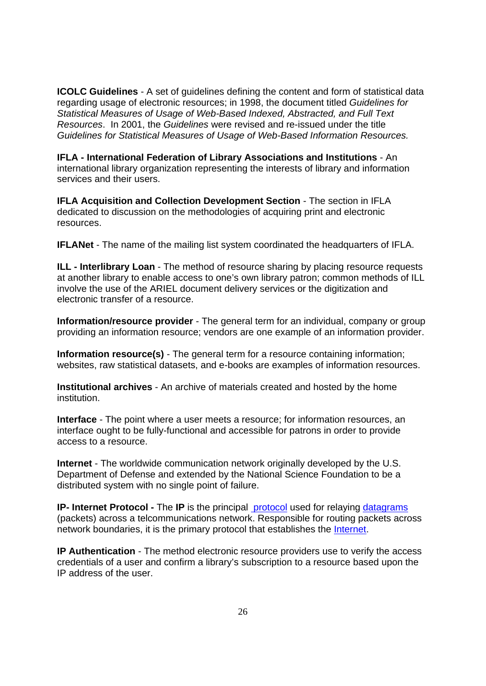**ICOLC Guidelines** - A set of guidelines defining the content and form of statistical data regarding usage of electronic resources; in 1998, the document titled *Guidelines for Statistical Measures of Usage of Web-Based Indexed, Abstracted, and Full Text Resources*. In 2001, the *Guidelines* were revised and re-issued under the title *Guidelines for Statistical Measures of Usage of Web-Based Information Resources.* 

**IFLA - International Federation of Library Associations and Institutions** - An international library organization representing the interests of library and information services and their users.

**IFLA Acquisition and Collection Development Section - The section in IFLA** dedicated to discussion on the methodologies of acquiring print and electronic resources.

**IFLANet** - The name of the mailing list system coordinated the headquarters of IFLA.

**ILL - Interlibrary Loan** - The method of resource sharing by placing resource requests at another library to enable access to one's own library patron; common methods of ILL involve the use of the ARIEL document delivery services or the digitization and electronic transfer of a resource.

**Information/resource provider** - The general term for an individual, company or group providing an information resource; vendors are one example of an information provider.

**Information resource(s)** - The general term for a resource containing information; websites, raw statistical datasets, and e-books are examples of information resources.

**Institutional archives** - An archive of materials created and hosted by the home institution.

**Interface** - The point where a user meets a resource; for information resources, an interface ought to be fully-functional and accessible for patrons in order to provide access to a resource.

**Internet** - The worldwide communication network originally developed by the U.S. Department of Defense and extended by the National Science Foundation to be a distributed system with no single point of failure.

**IP- Internet Protocol -** The **IP** is the principal protocol used for relaying datagrams (packets) across a telcommunications network. Responsible for routing packets across network boundaries, it is the primary protocol that establishes the **Internet**.

**IP Authentication** - The method electronic resource providers use to verify the access credentials of a user and confirm a library's subscription to a resource based upon the IP address of the user.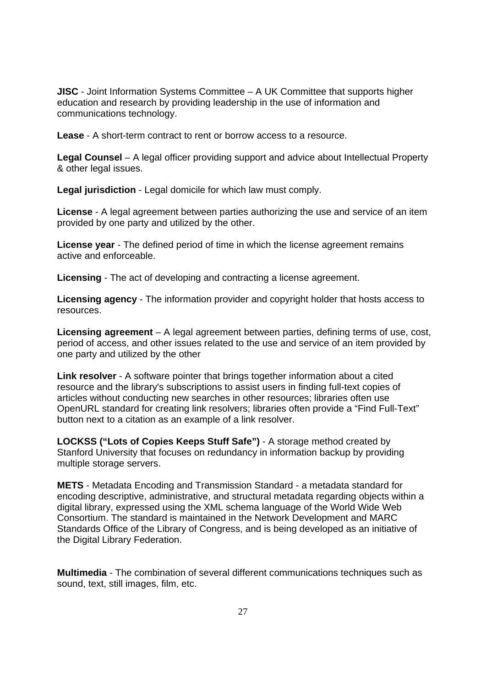**JISC** - Joint Information Systems Committee – A UK Committee that supports higher education and research by providing leadership in the use of information and communications technology.

**Lease** - A short-term contract to rent or borrow access to a resource.

**Legal Counsel** – A legal officer providing support and advice about Intellectual Property & other legal issues.

**Legal jurisdiction** - Legal domicile for which law must comply.

**License** - A legal agreement between parties authorizing the use and service of an item provided by one party and utilized by the other.

**License year** - The defined period of time in which the license agreement remains active and enforceable.

**Licensing** - The act of developing and contracting a license agreement.

**Licensing agency** - The information provider and copyright holder that hosts access to resources.

**Licensing agreement** – A legal agreement between parties, defining terms of use, cost, period of access, and other issues related to the use and service of an item provided by one party and utilized by the other

**Link resolver** - A software pointer that brings together information about a cited resource and the library's subscriptions to assist users in finding full-text copies of articles without conducting new searches in other resources; libraries often use OpenURL standard for creating link resolvers; libraries often provide a "Find Full-Text" button next to a citation as an example of a link resolver.

**LOCKSS ("Lots of Copies Keeps Stuff Safe")** - A storage method created by Stanford University that focuses on redundancy in information backup by providing multiple storage servers.

**METS** - Metadata Encoding and Transmission Standard - a metadata standard for encoding descriptive, administrative, and structural metadata regarding objects within a digital library, expressed using the XML schema language of the World Wide Web Consortium. The standard is maintained in the Network Development and MARC Standards Office of the Library of Congress, and is being developed as an initiative of the Digital Library Federation.

**Multimedia** - The combination of several different communications techniques such as sound, text, still images, film, etc.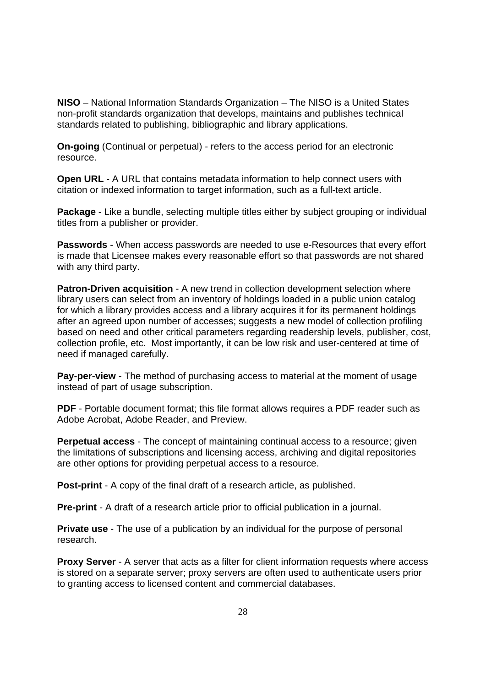**NISO** – National Information Standards Organization – The NISO is a United States non-profit standards organization that develops, maintains and publishes technical standards related to publishing, bibliographic and library applications.

**On-going** (Continual or perpetual) - refers to the access period for an electronic resource.

**Open URL** - A URL that contains metadata information to help connect users with citation or indexed information to target information, such as a full-text article.

**Package** - Like a bundle, selecting multiple titles either by subject grouping or individual titles from a publisher or provider.

**Passwords** - When access passwords are needed to use e-Resources that every effort is made that Licensee makes every reasonable effort so that passwords are not shared with any third party.

**Patron-Driven acquisition** - A new trend in collection development selection where library users can select from an inventory of holdings loaded in a public union catalog for which a library provides access and a library acquires it for its permanent holdings after an agreed upon number of accesses; suggests a new model of collection profiling based on need and other critical parameters regarding readership levels, publisher, cost, collection profile, etc. Most importantly, it can be low risk and user-centered at time of need if managed carefully.

**Pay-per-view** - The method of purchasing access to material at the moment of usage instead of part of usage subscription.

**PDF** - Portable document format; this file format allows requires a PDF reader such as Adobe Acrobat, Adobe Reader, and Preview.

**Perpetual access** - The concept of maintaining continual access to a resource; given the limitations of subscriptions and licensing access, archiving and digital repositories are other options for providing perpetual access to a resource.

**Post-print** - A copy of the final draft of a research article, as published.

**Pre-print** - A draft of a research article prior to official publication in a journal.

**Private use** - The use of a publication by an individual for the purpose of personal research.

**Proxy Server** - A server that acts as a filter for client information requests where access is stored on a separate server; proxy servers are often used to authenticate users prior to granting access to licensed content and commercial databases.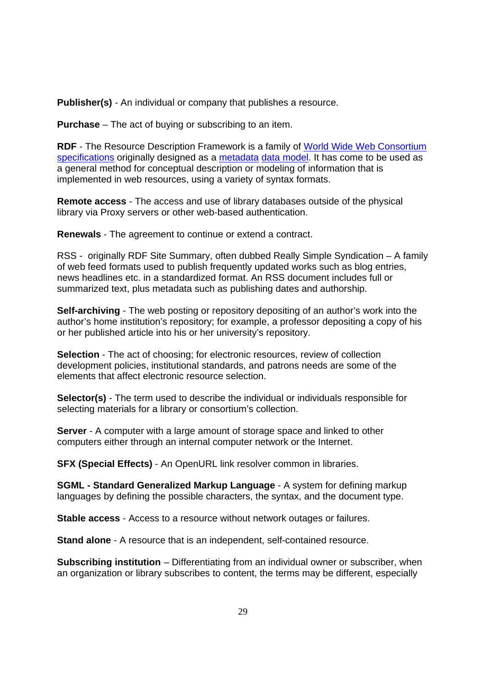**Publisher(s)** - An individual or company that publishes a resource.

**Purchase** – The act of buying or subscribing to an item.

**RDF** - The Resource Description Framework is a family of World Wide Web Consortium specifications originally designed as a metadata data model. It has come to be used as a general method for conceptual description or modeling of information that is implemented in web resources, using a variety of syntax formats.

**Remote access** - The access and use of library databases outside of the physical library via Proxy servers or other web-based authentication.

**Renewals** - The agreement to continue or extend a contract.

RSS - originally RDF Site Summary, often dubbed Really Simple Syndication – A family of web feed formats used to publish frequently updated works such as blog entries, news headlines etc. in a standardized format. An RSS document includes full or summarized text, plus metadata such as publishing dates and authorship.

**Self-archiving** - The web posting or repository depositing of an author's work into the author's home institution's repository; for example, a professor depositing a copy of his or her published article into his or her university's repository.

**Selection** - The act of choosing; for electronic resources, review of collection development policies, institutional standards, and patrons needs are some of the elements that affect electronic resource selection.

**Selector(s)** - The term used to describe the individual or individuals responsible for selecting materials for a library or consortium's collection.

**Server** - A computer with a large amount of storage space and linked to other computers either through an internal computer network or the Internet.

**SFX (Special Effects)** - An OpenURL link resolver common in libraries.

**SGML - Standard Generalized Markup Language** - A system for defining markup languages by defining the possible characters, the syntax, and the document type.

**Stable access** - Access to a resource without network outages or failures.

**Stand alone** - A resource that is an independent, self-contained resource.

**Subscribing institution** – Differentiating from an individual owner or subscriber, when an organization or library subscribes to content, the terms may be different, especially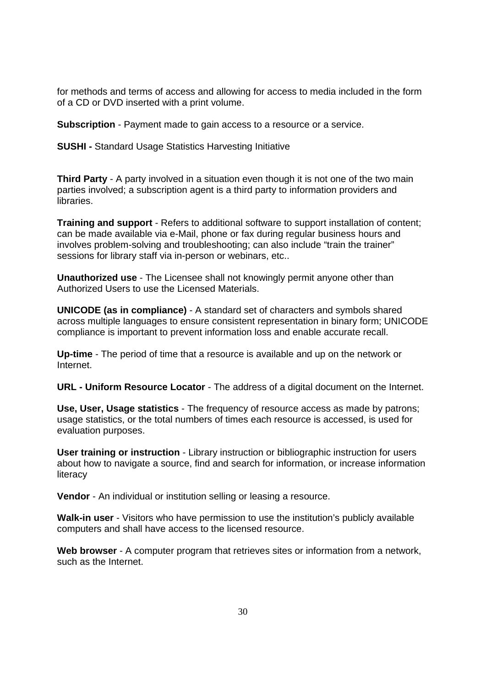for methods and terms of access and allowing for access to media included in the form of a CD or DVD inserted with a print volume.

**Subscription** - Payment made to gain access to a resource or a service.

**SUSHI -** Standard Usage Statistics Harvesting Initiative

**Third Party** - A party involved in a situation even though it is not one of the two main parties involved; a subscription agent is a third party to information providers and libraries.

**Training and support** - Refers to additional software to support installation of content; can be made available via e-Mail, phone or fax during regular business hours and involves problem-solving and troubleshooting; can also include "train the trainer" sessions for library staff via in-person or webinars, etc..

**Unauthorized use** - The Licensee shall not knowingly permit anyone other than Authorized Users to use the Licensed Materials.

**UNICODE (as in compliance)** - A standard set of characters and symbols shared across multiple languages to ensure consistent representation in binary form; UNICODE compliance is important to prevent information loss and enable accurate recall.

**Up-time** - The period of time that a resource is available and up on the network or Internet.

**URL - Uniform Resource Locator** - The address of a digital document on the Internet.

**Use, User, Usage statistics** - The frequency of resource access as made by patrons; usage statistics, or the total numbers of times each resource is accessed, is used for evaluation purposes.

**User training or instruction** - Library instruction or bibliographic instruction for users about how to navigate a source, find and search for information, or increase information literacy

**Vendor** - An individual or institution selling or leasing a resource.

**Walk-in user** - Visitors who have permission to use the institution's publicly available computers and shall have access to the licensed resource.

**Web browser** - A computer program that retrieves sites or information from a network, such as the Internet.